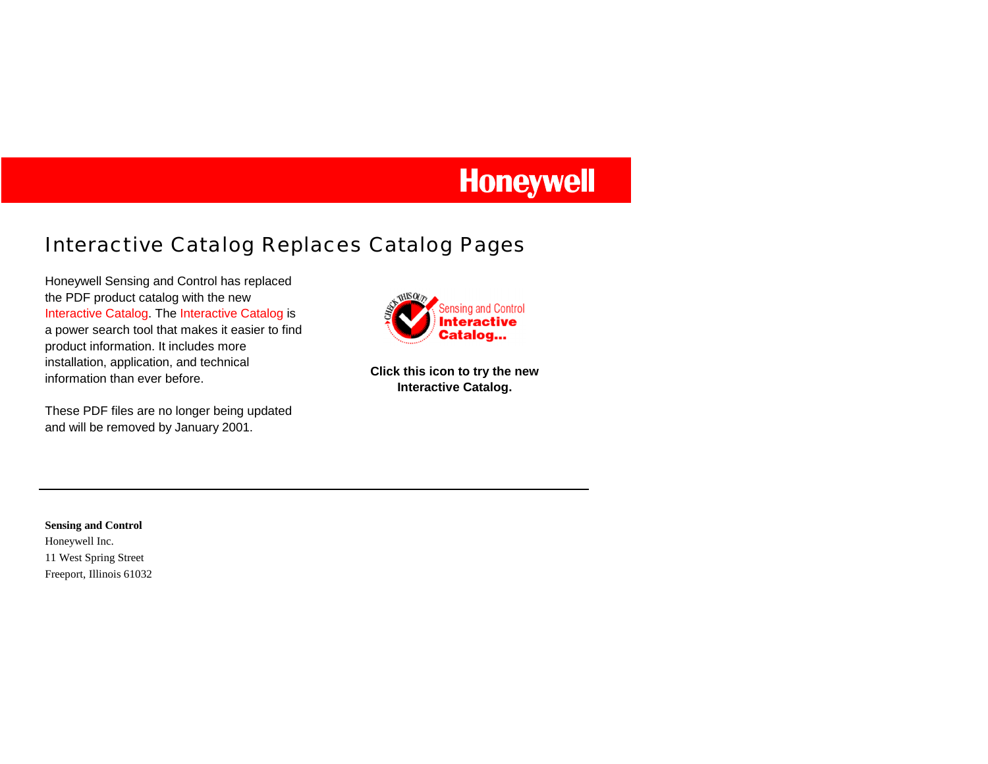# **Honeywell**

## Interactive Catalog Replaces Catalog Pages

Honeywell Sensing and Control has replaced the PDF product catalog with the new Interactive Catalog. The Interactive Catalog is a power search tool that makes it easier to find product information. It includes more installation, application, and technical information than ever before.

These PDF files are no longer being updated and will be removed by January 2001.



**Click this icon to try the new Interactive Catalog.** 

### **Sensing and Control**  Honeywell Inc.

11 West Spring Street

Freeport, Illinois 61032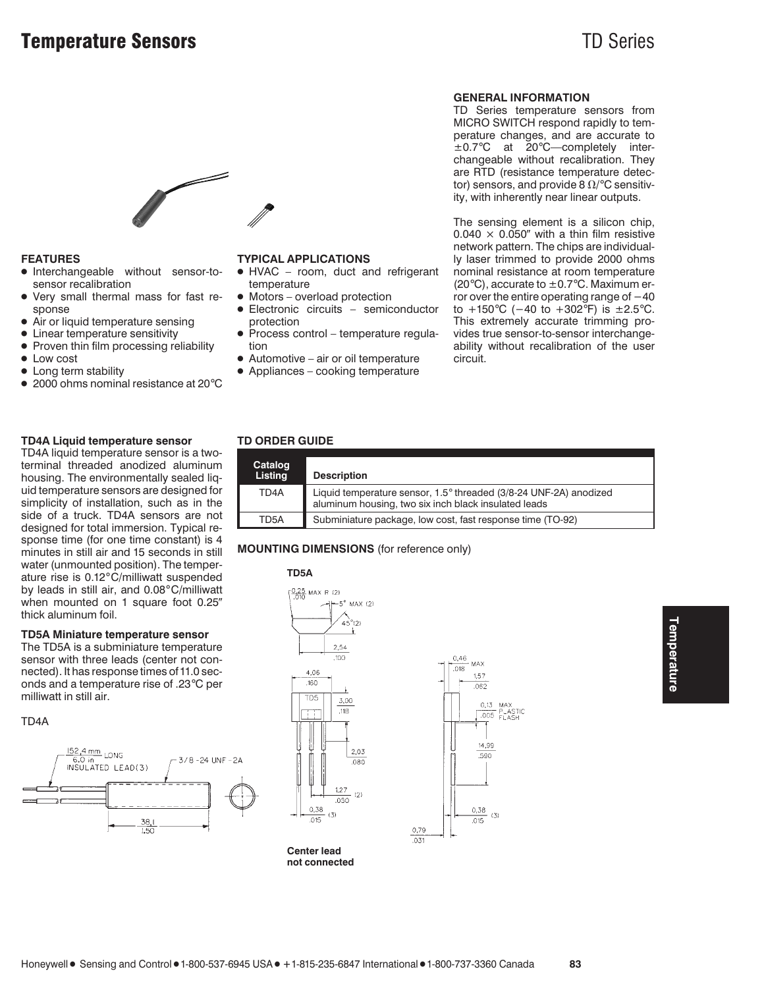

### **FEATURES**

- Interchangeable without sensor-tosensor recalibration
- Very small thermal mass for fast response
- Air or liquid temperature sensing
- Linear temperature sensitivity
- Proven thin film processing reliability
- Low cost
- Long term stability
- 2000 ohms nominal resistance at 20°C

### **TD4A Liquid temperature sensor**

TD4A liquid temperature sensor is a twoterminal threaded anodized aluminum housing. The environmentally sealed liquid temperature sensors are designed for simplicity of installation, such as in the side of a truck. TD4A sensors are not designed for total immersion. Typical response time (for one time constant) is 4 minutes in still air and 15 seconds in still water (unmounted position). The temperature rise is 0.12°C/milliwatt suspended by leads in still air, and 0.08°C/milliwatt when mounted on 1 square foot 0.25" thick aluminum foil.

### **TD5A Miniature temperature sensor**

The TD5A is a subminiature temperature sensor with three leads (center not connected). It has response times of 11.0 seconds and a temperature rise of .23°C per milliwatt in still air.

### TD4A



### **TYPICAL APPLICATIONS**

- HVAC room, duct and refrigerant temperature
- Motors overload protection
- Electronic circuits semiconductor protection
- Process control temperature regulation
- $\bullet$  Automotive air or oil temperature
- Appliances cooking temperature

### **GENERAL INFORMATION**

TD Series temperature sensors from MICRO SWITCH respond rapidly to temperature changes, and are accurate to ±0.7°C at 20°C—completely interchangeable without recalibration. They are RTD (resistance temperature detector) sensors, and provide 8  $\Omega$ /°C sensitivity, with inherently near linear outputs.

The sensing element is a silicon chip,  $0.040 \times 0.050$ " with a thin film resistive network pattern. The chips are individually laser trimmed to provide 2000 ohms nominal resistance at room temperature (20 $^{\circ}$ C), accurate to  $\pm$  0.7 $^{\circ}$ C. Maximum error over the entire operating range of −40 to +150°C (−40 to +302°F) is ±2.5°C. This extremely accurate trimming provides true sensor-to-sensor interchangeability without recalibration of the user circuit.

### **TD ORDER GUIDE**

| Catalog<br>Listing | <b>Description</b>                                                                                                        |
|--------------------|---------------------------------------------------------------------------------------------------------------------------|
| TD <sub>4</sub> A  | Liquid temperature sensor, 1.5° threaded (3/8-24 UNF-2A) anodized<br>aluminum housing, two six inch black insulated leads |
| TD5A               | Subminiature package, low cost, fast response time (TO-92)                                                                |

 $.031$ 

### **MOUNTING DIMENSIONS** (for reference only)

### **TD5A**



**Center lead not connected**